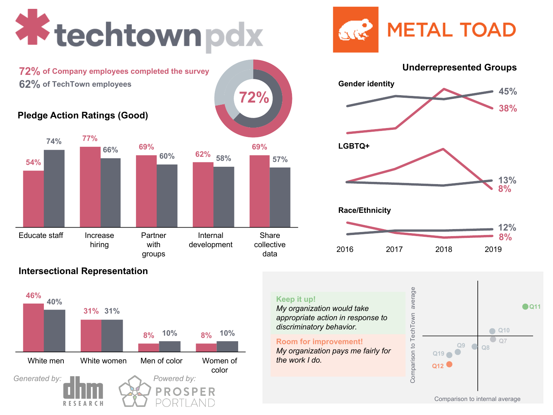# **X** techtownpdx

**72% of Company employees completed the survey 62% of TechTown employees**

#### **Pledge Action Ratings (Good)**



**72%**

# **METAL TOAD CARGO**



#### **Intersectional Representation**



#### Comparison to TechTown average average **Keep it up!** *My organization would take*  Comparison to TechTown *appropriate action in response to discriminatory behavior.* **Room for improvement!** *My organization pays me fairly for*

*the work I do.*